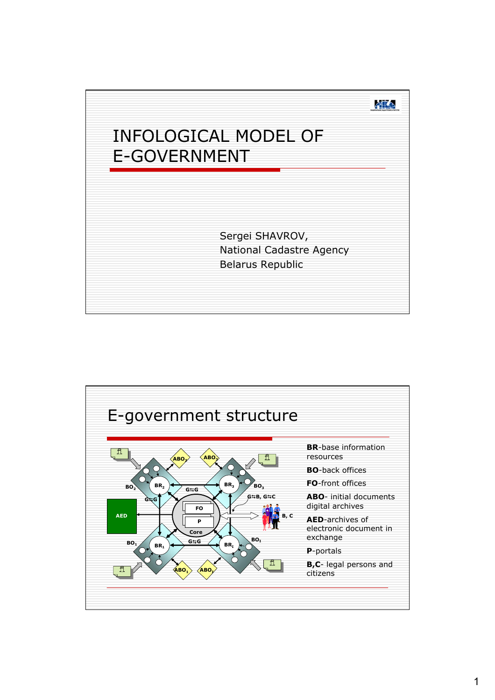

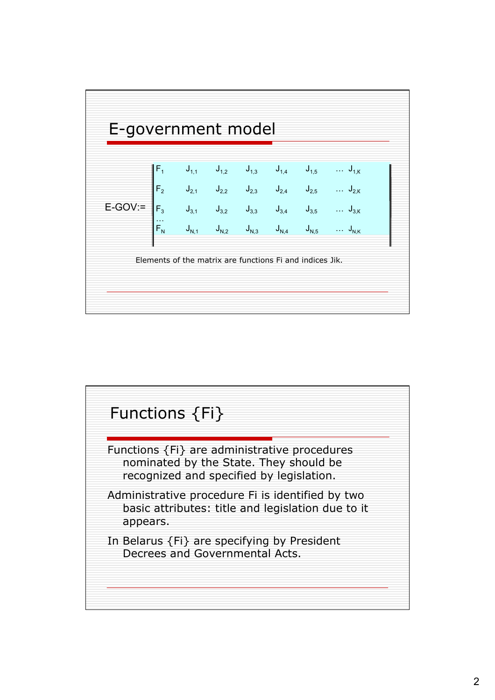

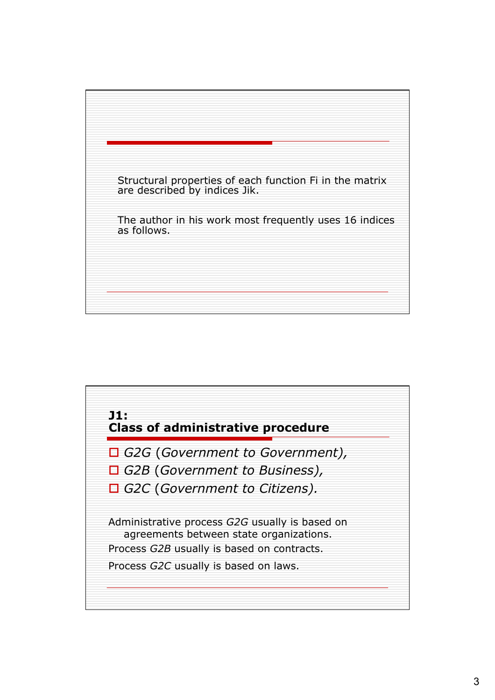

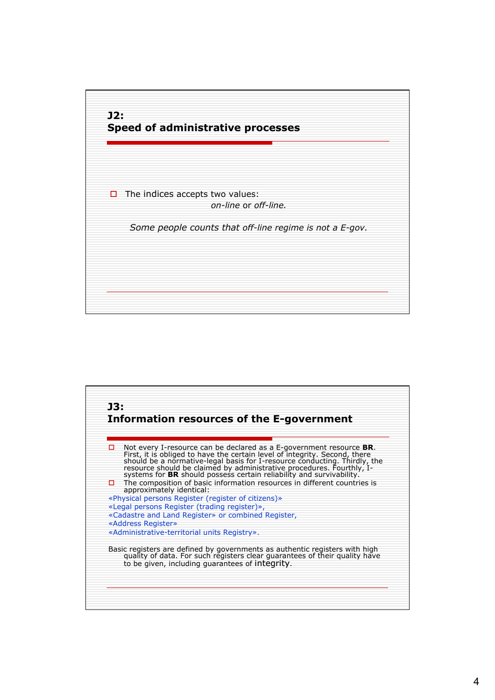

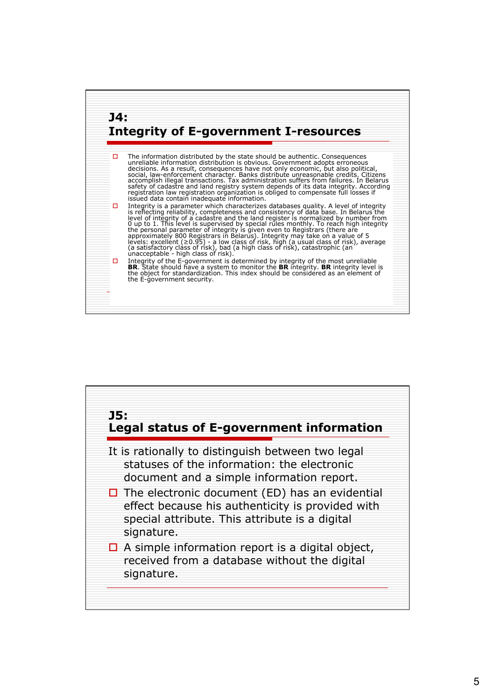

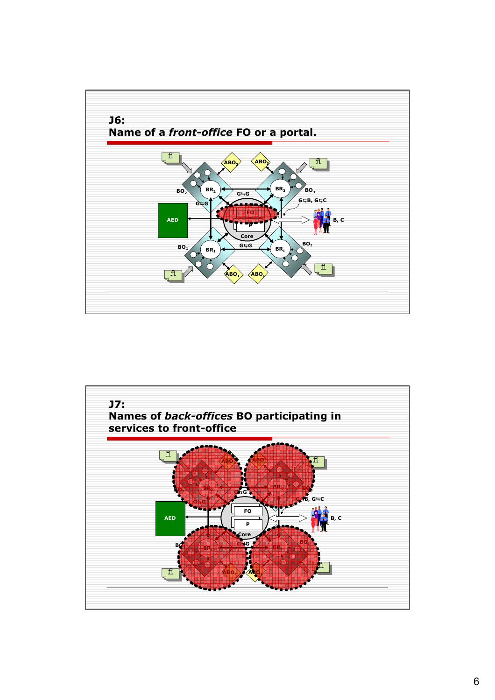

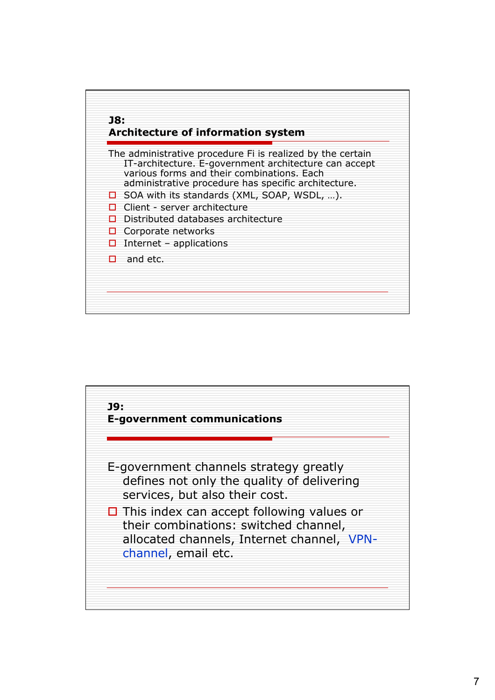

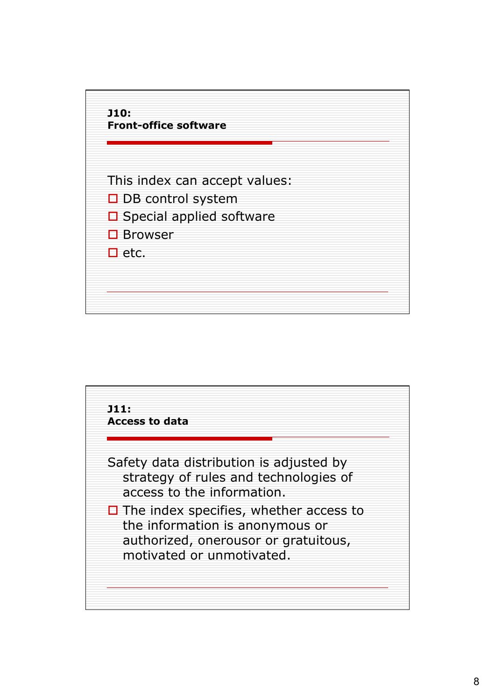

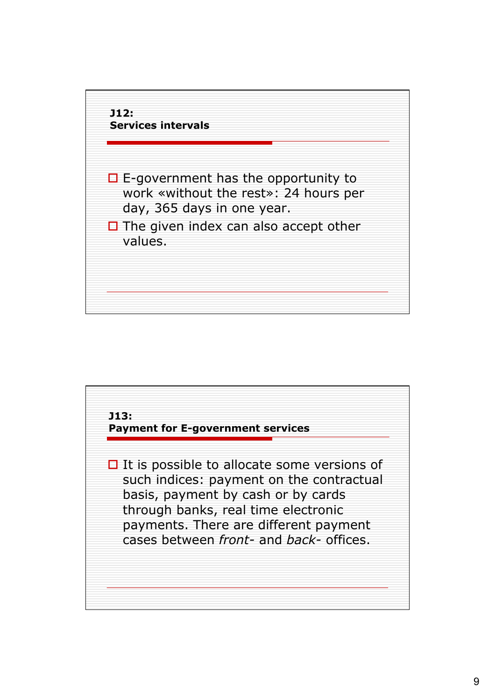

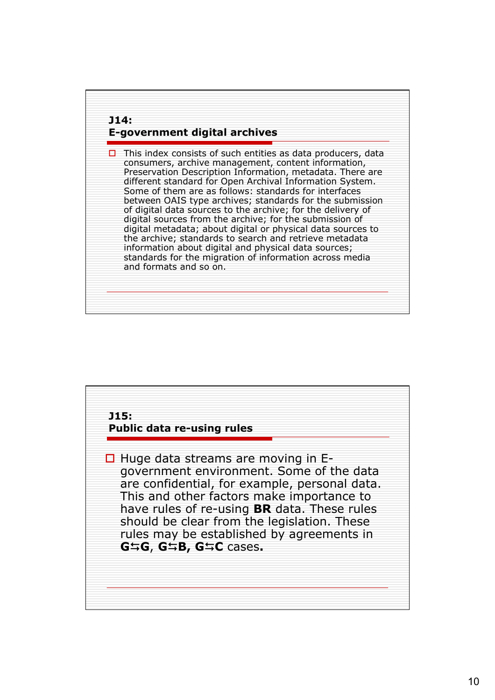

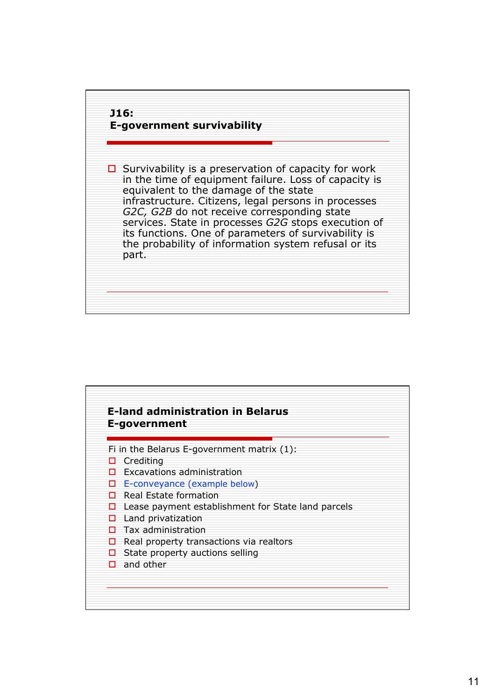

| <b>E-land administration in Belarus</b><br>E-government |                                                    |
|---------------------------------------------------------|----------------------------------------------------|
|                                                         | Fi in the Belarus E-government matrix $(1)$ :      |
| П                                                       | Crediting                                          |
|                                                         | <b>Excavations administration</b>                  |
| п                                                       | E-conveyance (example below)                       |
| п                                                       | Real Estate formation                              |
| П                                                       | Lease payment establishment for State land parcels |
| п                                                       | Land privatization                                 |
|                                                         | Tax administration                                 |
|                                                         | Real property transactions via realtors            |
|                                                         | State property auctions selling                    |
| п                                                       | and other                                          |
|                                                         |                                                    |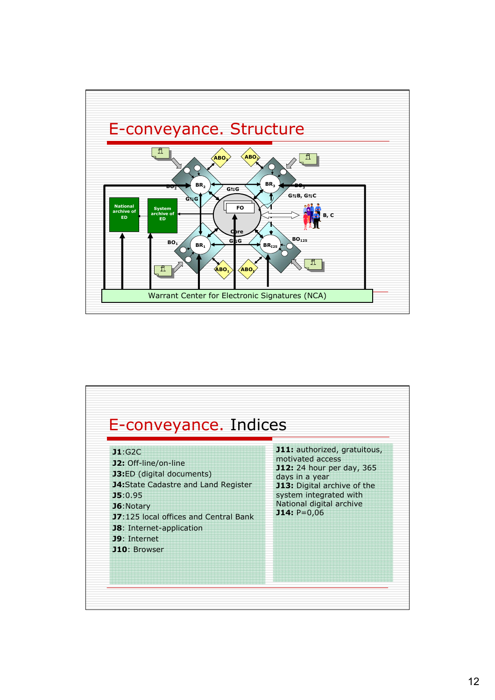